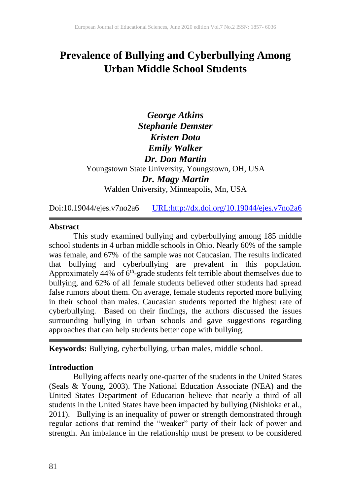# **Prevalence of Bullying and Cyberbullying Among Urban Middle School Students**

*George Atkins Stephanie Demster Kristen Dota Emily Walker Dr. Don Martin* Youngstown State University, Youngstown, OH, USA *Dr. Magy Martin* Walden University, Minneapolis, Mn, USA

Doi:10.19044/ejes.v7no2a6 [URL:http://dx.doi.org/10.19044/ejes.v7no2a6](http://dx.doi.org/10.19044/ejes.v7no2a6)

#### **Abstract**

This study examined bullying and cyberbullying among 185 middle school students in 4 urban middle schools in Ohio. Nearly 60% of the sample was female, and 67% of the sample was not Caucasian. The results indicated that bullying and cyberbullying are prevalent in this population. Approximately  $44\%$  of  $6<sup>th</sup>$ -grade students felt terrible about themselves due to bullying, and 62% of all female students believed other students had spread false rumors about them. On average, female students reported more bullying in their school than males. Caucasian students reported the highest rate of cyberbullying. Based on their findings, the authors discussed the issues surrounding bullying in urban schools and gave suggestions regarding approaches that can help students better cope with bullying.

**Keywords:** Bullying, cyberbullying, urban males, middle school.

#### **Introduction**

Bullying affects nearly one-quarter of the students in the United States (Seals & Young, 2003). The National Education Associate (NEA) and the United States Department of Education believe that nearly a third of all students in the United States have been impacted by bullying (Nishioka et al., 2011). Bullying is an inequality of power or strength demonstrated through regular actions that remind the "weaker" party of their lack of power and strength. An imbalance in the relationship must be present to be considered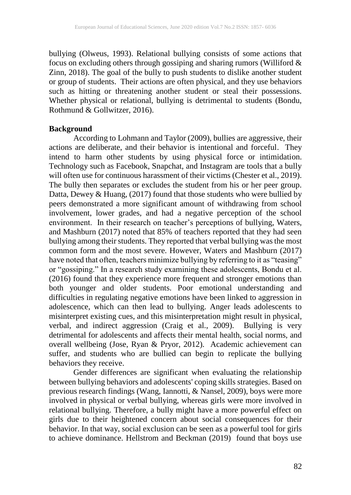bullying (Olweus, 1993). Relational bullying consists of some actions that focus on excluding others through gossiping and sharing rumors (Williford  $\&$ Zinn, 2018). The goal of the bully to push students to dislike another student or group of students. Their actions are often physical, and they use behaviors such as hitting or threatening another student or steal their possessions. Whether physical or relational, bullying is detrimental to students (Bondu, Rothmund & Gollwitzer, 2016).

#### **Background**

According to Lohmann and Taylor (2009), bullies are aggressive, their actions are deliberate, and their behavior is intentional and forceful. They intend to harm other students by using physical force or intimidation. Technology such as Facebook, Snapchat, and Instagram are tools that a bully will often use for continuous harassment of their victims (Chester et al., 2019). The bully then separates or excludes the student from his or her peer group. Datta, Dewey & Huang, (2017) found that those students who were bullied by peers demonstrated a more significant amount of withdrawing from school involvement, lower grades, and had a negative perception of the school environment. In their research on teacher's perceptions of bullying, Waters, and Mashburn (2017) noted that 85% of teachers reported that they had seen bullying among their students. They reported that verbal bullying was the most common form and the most severe. However, Waters and Mashburn (2017) have noted that often, teachers minimize bullying by referring to it as "teasing" or "gossiping." In a research study examining these adolescents, Bondu et al. (2016) found that they experience more frequent and stronger emotions than both younger and older students. Poor emotional understanding and difficulties in regulating negative emotions have been linked to aggression in adolescence, which can then lead to bullying. Anger leads adolescents to misinterpret existing cues, and this misinterpretation might result in physical, verbal, and indirect aggression (Craig et al., 2009). Bullying is very detrimental for adolescents and affects their mental health, social norms, and overall wellbeing (Jose, Ryan & Pryor, 2012). Academic achievement can suffer, and students who are bullied can begin to replicate the bullying behaviors they receive.

Gender differences are significant when evaluating the relationship between bullying behaviors and adolescents' coping skills strategies. Based on previous research findings (Wang, Iannotti, & Nansel, 2009), boys were more involved in physical or verbal bullying, whereas girls were more involved in relational bullying. Therefore, a bully might have a more powerful effect on girls due to their heightened concern about social consequences for their behavior. In that way, social exclusion can be seen as a powerful tool for girls to achieve dominance. Hellstrom and Beckman (2019) found that boys use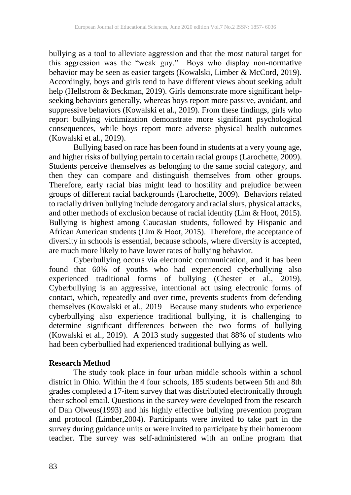bullying as a tool to alleviate aggression and that the most natural target for this aggression was the "weak guy." Boys who display non‐normative behavior may be seen as easier targets (Kowalski, Limber & McCord, 2019). Accordingly, boys and girls tend to have different views about seeking adult help (Hellstrom & Beckman, 2019). Girls demonstrate more significant helpseeking behaviors generally, whereas boys report more passive, avoidant, and suppressive behaviors (Kowalski et al., 2019). From these findings, girls who report bullying victimization demonstrate more significant psychological consequences, while boys report more adverse physical health outcomes (Kowalski et al., 2019).

Bullying based on race has been found in students at a very young age, and higher risks of bullying pertain to certain racial groups (Larochette, 2009). Students perceive themselves as belonging to the same social category, and then they can compare and distinguish themselves from other groups. Therefore, early racial bias might lead to hostility and prejudice between groups of different racial backgrounds (Larochette, 2009). Behaviors related to racially driven bullying include derogatory and racial slurs, physical attacks, and other methods of exclusion because of racial identity (Lim & Hoot, 2015). Bullying is highest among Caucasian students, followed by Hispanic and African American students (Lim & Hoot, 2015). Therefore, the acceptance of diversity in schools is essential, because schools, where diversity is accepted, are much more likely to have lower rates of bullying behavior.

Cyberbullying occurs via electronic communication, and it has been found that 60% of youths who had experienced cyberbullying also experienced traditional forms of bullying (Chester et al., 2019). Cyberbullying is an aggressive, intentional act using electronic forms of contact, which, repeatedly and over time, prevents students from defending themselves (Kowalski et al., 2019 Because many students who experience cyberbullying also experience traditional bullying, it is challenging to determine significant differences between the two forms of bullying (Kowalski et al., 2019). A 2013 study suggested that 88% of students who had been cyberbullied had experienced traditional bullying as well.

# **Research Method**

The study took place in four urban middle schools within a school district in Ohio. Within the 4 four schools, 185 students between 5th and 8th grades completed a 17-item survey that was distributed electronically through their school email. Questions in the survey were developed from the research of Dan Olweus(1993) and his highly effective bullying prevention program and protocol (Limber,2004). Participants were invited to take part in the survey during guidance units or were invited to participate by their homeroom teacher. The survey was self-administered with an online program that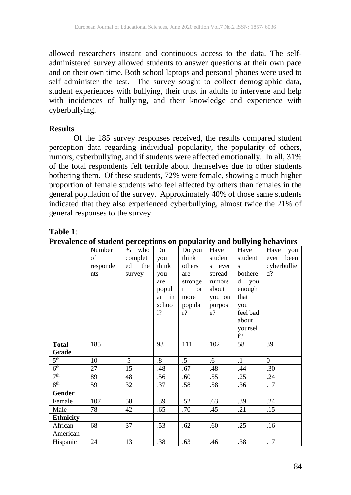allowed researchers instant and continuous access to the data. The selfadministered survey allowed students to answer questions at their own pace and on their own time. Both school laptops and personal phones were used to self administer the test. The survey sought to collect demographic data, student experiences with bullying, their trust in adults to intervene and help with incidences of bullying, and their knowledge and experience with cyberbullying.

#### **Results**

Of the 185 survey responses received, the results compared student perception data regarding individual popularity, the popularity of others, rumors, cyberbullying, and if students were affected emotionally. In all, 31% of the total respondents felt terrible about themselves due to other students bothering them. Of these students, 72% were female, showing a much higher proportion of female students who feel affected by others than females in the general population of the survey. Approximately 40% of those same students indicated that they also experienced cyberbullying, almost twice the 21% of general responses to the survey.

#### **Table 1**:

|                  | Number   | %<br>who | Do                | Do you          | Have    | Have      | Have<br>you  |
|------------------|----------|----------|-------------------|-----------------|---------|-----------|--------------|
|                  | of       | complet  | you               | think           | student | student   | been<br>ever |
|                  | responde | ed the   | think             | others          | s ever  | S.        | cyberbullie  |
|                  | nts      | survey   | you               | are             | spread  | bothere   | $d$ ?        |
|                  |          |          | are               | stronge         | rumors  | d you     |              |
|                  |          |          | popul             | <b>or</b><br>r  | about   | enough    |              |
|                  |          |          | ar in             | more            | you on  | that      |              |
|                  |          |          | schoo             | popula          | purpos  | you       |              |
|                  |          |          | 1?                | $r$ ?           | e?      | feel bad  |              |
|                  |          |          |                   |                 |         | about     |              |
|                  |          |          |                   |                 |         | yoursel   |              |
|                  |          |          |                   |                 |         | f?        |              |
| <b>Total</b>     | 185      |          | 93                | 111             | 102     | 58        | 39           |
| Grade            |          |          |                   |                 |         |           |              |
| 5 <sup>th</sup>  | 10       | 5        | $\boldsymbol{.8}$ | $.5\phantom{0}$ | $.6\,$  | $\cdot$ 1 | $\Omega$     |
| 6 <sup>th</sup>  | 27       | 15       | .48               | .67             | .48     | .44       | .30          |
| 7 <sup>th</sup>  | 89       | 48       | .56               | .60             | .55     | .25       | .24          |
| 8 <sup>th</sup>  | 59       | 32       | .37               | .58             | .58     | .36       | .17          |
| <b>Gender</b>    |          |          |                   |                 |         |           |              |
| Female           | 107      | 58       | .39               | .52             | .63     | .39       | .24          |
| Male             | 78       | 42       | .65               | .70             | .45     | .21       | .15          |
| <b>Ethnicity</b> |          |          |                   |                 |         |           |              |
| African          | 68       | 37       | .53               | .62             | .60     | .25       | .16          |
| American         |          |          |                   |                 |         |           |              |
| Hispanic         | 24       | 13       | .38               | .63             | .46     | .38       | .17          |

**Prevalence of student perceptions on popularity and bullying behaviors**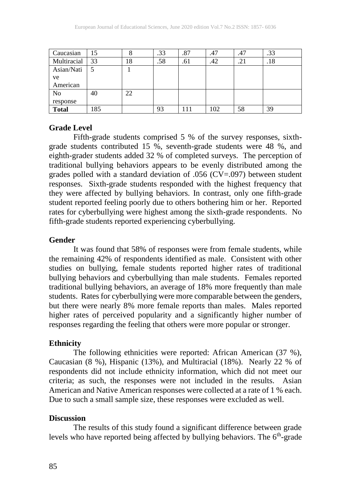| Caucasian      | 15  | ິ<br>O | .33 | .87 | .47 | .47 | .33 |
|----------------|-----|--------|-----|-----|-----|-----|-----|
| Multiracial    | 33  | 18     | .58 | .61 | .42 | .21 | .18 |
| Asian/Nati     |     |        |     |     |     |     |     |
| ve             |     |        |     |     |     |     |     |
| American       |     |        |     |     |     |     |     |
| N <sub>0</sub> | 40  | 22     |     |     |     |     |     |
| response       |     |        |     |     |     |     |     |
| <b>Total</b>   | 185 |        | 93  |     | 102 | 58  | 39  |

#### **Grade Level**

Fifth-grade students comprised 5 % of the survey responses, sixthgrade students contributed 15 %, seventh-grade students were 48 %, and eighth-grader students added 32 % of completed surveys. The perception of traditional bullying behaviors appears to be evenly distributed among the grades polled with a standard deviation of .056 (CV=.097) between student responses. Sixth-grade students responded with the highest frequency that they were affected by bullying behaviors. In contrast, only one fifth-grade student reported feeling poorly due to others bothering him or her. Reported rates for cyberbullying were highest among the sixth-grade respondents. No fifth-grade students reported experiencing cyberbullying.

#### **Gender**

It was found that 58% of responses were from female students, while the remaining 42% of respondents identified as male. Consistent with other studies on bullying, female students reported higher rates of traditional bullying behaviors and cyberbullying than male students. Females reported traditional bullying behaviors, an average of 18% more frequently than male students. Rates for cyberbullying were more comparable between the genders, but there were nearly 8% more female reports than males. Males reported higher rates of perceived popularity and a significantly higher number of responses regarding the feeling that others were more popular or stronger.

#### **Ethnicity**

The following ethnicities were reported: African American (37 %), Caucasian (8 %), Hispanic (13%), and Multiracial (18%). Nearly 22 % of respondents did not include ethnicity information, which did not meet our criteria; as such, the responses were not included in the results. Asian American and Native American responses were collected at a rate of 1 % each. Due to such a small sample size, these responses were excluded as well.

#### **Discussion**

The results of this study found a significant difference between grade levels who have reported being affected by bullying behaviors. The  $6<sup>th</sup>$ -grade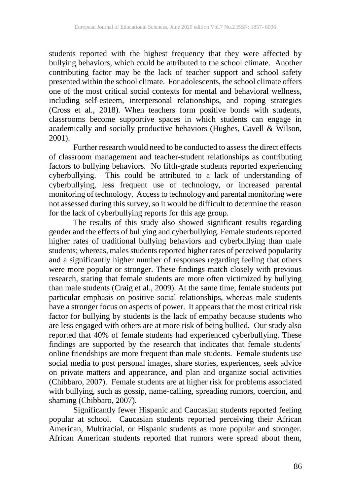students reported with the highest frequency that they were affected by bullying behaviors, which could be attributed to the school climate. Another contributing factor may be the lack of teacher support and school safety presented within the school climate. For adolescents, the school climate offers one of the most critical social contexts for mental and behavioral wellness, including self-esteem, interpersonal relationships, and coping strategies (Cross et al., 2018). When teachers form positive bonds with students, classrooms become supportive spaces in which students can engage in academically and socially productive behaviors (Hughes, Cavell & Wilson, 2001).

Further research would need to be conducted to assess the direct effects of classroom management and teacher-student relationships as contributing factors to bullying behaviors. No fifth-grade students reported experiencing cyberbullying. This could be attributed to a lack of understanding of cyberbullying, less frequent use of technology, or increased parental monitoring of technology. Access to technology and parental monitoring were not assessed during this survey, so it would be difficult to determine the reason for the lack of cyberbullying reports for this age group.

 The results of this study also showed significant results regarding gender and the effects of bullying and cyberbullying. Female students reported higher rates of traditional bullying behaviors and cyberbullying than male students; whereas, males students reported higher rates of perceived popularity and a significantly higher number of responses regarding feeling that others were more popular or stronger. These findings match closely with previous research, stating that female students are more often victimized by bullying than male students (Craig et al., 2009). At the same time, female students put particular emphasis on positive social relationships, whereas male students have a stronger focus on aspects of power. It appears that the most critical risk factor for bullying by students is the lack of empathy because students who are less engaged with others are at more risk of being bullied. Our study also reported that 40% of female students had experienced cyberbullying. These findings are supported by the research that indicates that female students' online friendships are more frequent than male students. Female students use social media to post personal images, share stories, experiences, seek advice on private matters and appearance, and plan and organize social activities (Chibbaro, 2007). Female students are at higher risk for problems associated with bullying, such as gossip, name-calling, spreading rumors, coercion, and shaming (Chibbaro, 2007).

Significantly fewer Hispanic and Caucasian students reported feeling popular at school. Caucasian students reported perceiving their African American, Multiracial, or Hispanic students as more popular and stronger. African American students reported that rumors were spread about them,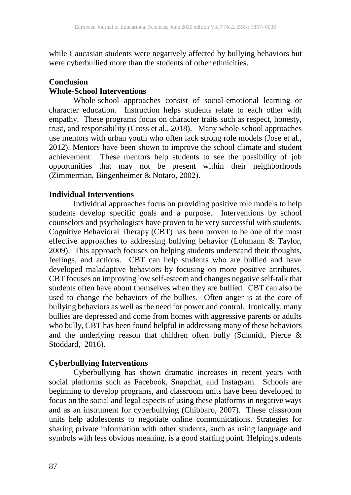while Caucasian students were negatively affected by bullying behaviors but were cyberbullied more than the students of other ethnicities.

# **Conclusion**

## **Whole-School Interventions**

Whole-school approaches consist of social-emotional learning or character education. Instruction helps students relate to each other with empathy. These programs focus on character traits such as respect, honesty, trust, and responsibility (Cross et al., 2018). Many whole-school approaches use mentors with urban youth who often lack strong role models (Jose et al., 2012). Mentors have been shown to improve the school climate and student achievement. These mentors help students to see the possibility of job opportunities that may not be present within their neighborhoods (Zimmerman, Bingenheimer & Notaro, 2002).

## **Individual Interventions**

Individual approaches focus on providing positive role models to help students develop specific goals and a purpose. Interventions by school counselors and psychologists have proven to be very successful with students. Cognitive Behavioral Therapy (CBT) has been proven to be one of the most effective approaches to addressing bullying behavior (Lohmann & Taylor, 2009). This approach focuses on helping students understand their thoughts, feelings, and actions. CBT can help students who are bullied and have developed maladaptive behaviors by focusing on more positive attributes. CBT focuses on improving low self-esteem and changes negative self-talk that students often have about themselves when they are bullied. CBT can also be used to change the behaviors of the bullies. Often anger is at the core of bullying behaviors as well as the need for power and control. Ironically, many bullies are depressed and come from homes with aggressive parents or adults who bully, CBT has been found helpful in addressing many of these behaviors and the underlying reason that children often bully (Schmidt, Pierce & Stoddard, 2016).

# **Cyberbullying Interventions**

Cyberbullying has shown dramatic increases in recent years with social platforms such as Facebook, Snapchat, and Instagram. Schools are beginning to develop programs, and classroom units have been developed to focus on the social and legal aspects of using these platforms in negative ways and as an instrument for cyberbullying (Chibbaro, 2007). These classroom units help adolescents to negotiate online communications. Strategies for sharing private information with other students, such as using language and symbols with less obvious meaning, is a good starting point. Helping students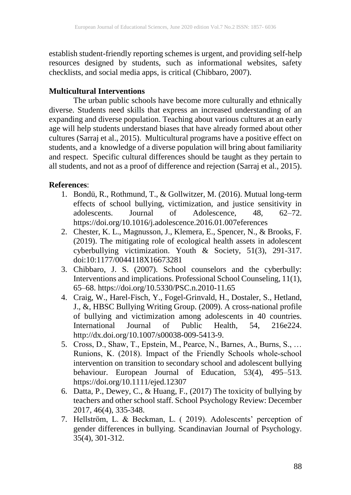establish student-friendly reporting schemes is urgent, and providing self-help resources designed by students, such as informational websites, safety checklists, and social media apps, is critical (Chibbaro, 2007).

# **Multicultural Interventions**

The urban public schools have become more culturally and ethnically diverse. Students need skills that express an increased understanding of an expanding and diverse population. Teaching about various cultures at an early age will help students understand biases that have already formed about other cultures (Sarraj et al., 2015). Multicultural programs have a positive effect on students, and a knowledge of a diverse population will bring about familiarity and respect. Specific cultural differences should be taught as they pertain to all students, and not as a proof of difference and rejection (Sarraj et al., 2015).

# **References**:

- 1. Bondü, R., Rothmund, T., & Gollwitzer, M. (2016). Mutual long-term effects of school bullying, victimization, and justice sensitivity in adolescents. Journal of Adolescence, 48, 62–72. https://doi.org/10.1016/j.adolescence.2016.01.007eferences
- 2. Chester, K. L., Magnusson, J., Klemera, E., Spencer, N., & Brooks, F. (2019). The mitigating role of ecological health assets in adolescent cyberbullying victimization. Youth & Society, 51(3), 291-317. doi:10:1177/0044118X16673281
- 3. Chibbaro, J. S. (2007). School counselors and the cyberbully: Interventions and implications. Professional School Counseling, 11(1), 65–68. https://doi.org/10.5330/PSC.n.2010-11.65
- 4. Craig, W., Harel-Fisch, Y., Fogel-Grinvald, H., Dostaler, S., Hetland, J., &, HBSC Bullying Writing Group. (2009). A cross-national profile of bullying and victimization among adolescents in 40 countries. International Journal of Public Health, 54, 216e224. http://dx.doi.org/10.1007/s00038-009-5413-9.
- 5. Cross, D., Shaw, T., Epstein, M., Pearce, N., Barnes, A., Burns, S., ... Runions, K. (2018). Impact of the Friendly Schools whole‐school intervention on transition to secondary school and adolescent bullying behaviour. European Journal of Education, 53(4), 495–513. https://doi.org/10.1111/ejed.12307
- 6. Datta, P., Dewey, C., & Huang, F., (2017) The toxicity of bullying by teachers and other school staff. School Psychology Review: December 2017, 46(4), 335-348.
- 7. Hellström, L. & Beckman, L. ( 2019). Adolescents' perception of gender differences in bullying. Scandinavian Journal of Psychology. 35(4), 301-312.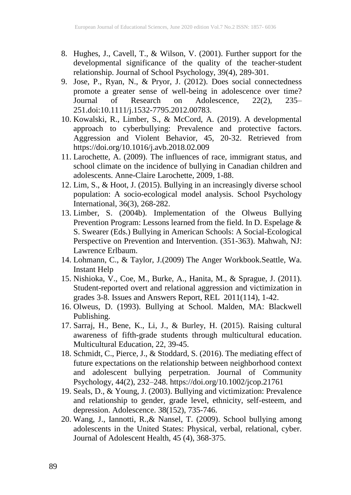- 8. Hughes, J., Cavell, T., & Wilson, V. (2001). Further support for the developmental significance of the quality of the teacher-student relationship. Journal of School Psychology, 39(4), 289-301.
- 9. Jose, P., Ryan, N., & Pryor, J. (2012). Does social connectedness promote a greater sense of well-being in adolescence over time? Journal of Research on Adolescence, 22(2), 235– 251.doi:10.1111/j.1532-7795.2012.00783.
- 10. Kowalski, R., Limber, S., & McCord, A. (2019). A developmental approach to cyberbullying: Prevalence and protective factors. Aggression and Violent Behavior, 45, 20-32. Retrieved from https://doi.org/10.1016/j.avb.2018.02.009
- 11. Larochette, A. (2009). The influences of race, immigrant status, and school climate on the incidence of bullying in Canadian children and adolescents. Anne-Claire Larochette, 2009, 1-88.
- 12. Lim, S., & Hoot, J. (2015). Bullying in an increasingly diverse school population: A socio-ecological model analysis. School Psychology International, 36(3), 268-282.
- 13. Limber, S. (2004b). Implementation of the Olweus Bullying Prevention Program: Lessons learned from the field. In D. Espelage & S. Swearer (Eds.) Bullying in American Schools: A Social-Ecological Perspective on Prevention and Intervention. (351-363). Mahwah, NJ: Lawrence Erlbaum.
- 14. Lohmann, C., & Taylor, J.(2009) The Anger Workbook.Seattle, Wa. Instant Help
- 15. Nishioka, V., Coe, M., Burke, A., Hanita, M., & Sprague, J. (2011). Student-reported overt and relational aggression and victimization in grades 3-8. Issues and Answers Report, REL 2011(114), 1-42.
- 16. Olweus, D. (1993). Bullying at School. Malden, MA: Blackwell Publishing.
- 17. Sarraj, H., Bene, K., Li, J., & Burley, H. (2015). Raising cultural awareness of fifth-grade students through multicultural education. Multicultural Education, 22, 39-45.
- 18. Schmidt, C., Pierce, J., & Stoddard, S. (2016). The mediating effect of future expectations on the relationship between neighborhood context and adolescent bullying perpetration. Journal of Community Psychology, 44(2), 232–248. https://doi.org/10.1002/jcop.21761
- 19. Seals, D., & Young, J. (2003). Bullying and victimization: Prevalence and relationship to gender, grade level, ethnicity, self-esteem, and depression. Adolescence. 38(152), 735-746.
- 20. Wang, J., Iannotti, R.,& Nansel, T. (2009). School bullying among adolescents in the United States: Physical, verbal, relational, cyber. Journal of Adolescent Health, 45 (4), 368-375.